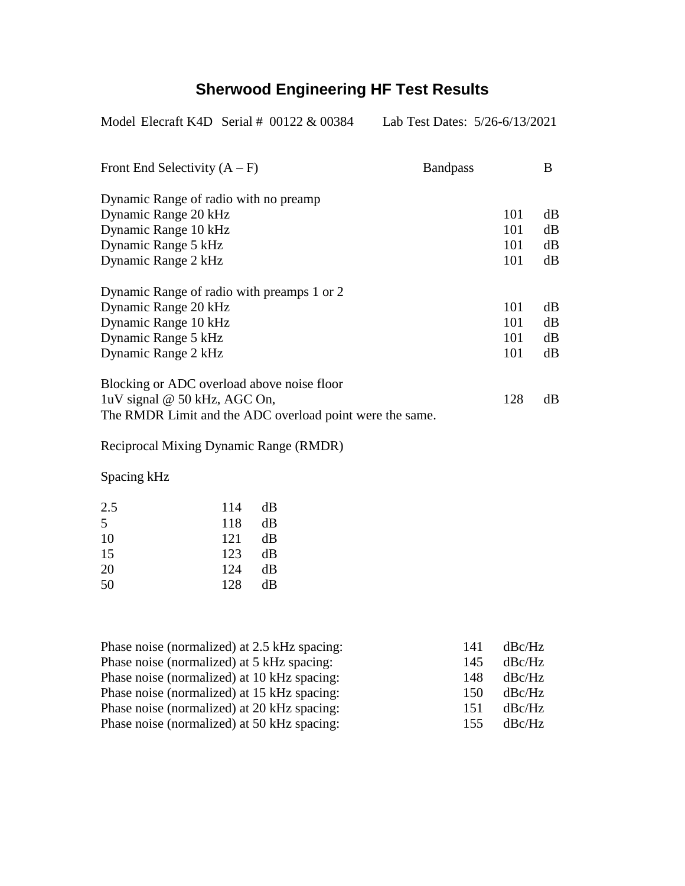## **Sherwood Engineering HF Test Results**

Model Elecraft K4D Serial # 00122 & 00384 Lab Test Dates: 5/26-6/13/2021

| Front End Selectivity $(A - F)$                          | <b>Bandpass</b> | B  |
|----------------------------------------------------------|-----------------|----|
| Dynamic Range of radio with no preamp                    |                 |    |
| Dynamic Range 20 kHz                                     | 101             | dB |
| Dynamic Range 10 kHz                                     | 101             | dB |
| Dynamic Range 5 kHz                                      | 101             | dB |
| Dynamic Range 2 kHz                                      | 101             | dB |
| Dynamic Range of radio with preamps 1 or 2               |                 |    |
| Dynamic Range 20 kHz                                     | 101             | dB |
| Dynamic Range 10 kHz                                     | 101             | dB |
| Dynamic Range 5 kHz                                      | 101             | dB |
| Dynamic Range 2 kHz                                      | 101             | dB |
| Blocking or ADC overload above noise floor               |                 |    |
| luV signal @ 50 kHz, AGC On,                             | 128             | dB |
| The RMDR Limit and the ADC overload point were the same. |                 |    |

Reciprocal Mixing Dynamic Range (RMDR)

Spacing kHz

| 2.5 | 114 | dВ |
|-----|-----|----|
| 5   | 118 | dВ |
| 10  | 121 | dВ |
| 15  | 123 | dВ |
| 20  | 124 | dВ |
| 50  | 128 | dВ |

| Phase noise (normalized) at 2.5 kHz spacing: | 141 | dBc/Hz |
|----------------------------------------------|-----|--------|
| Phase noise (normalized) at 5 kHz spacing:   | 145 | dBc/Hz |
| Phase noise (normalized) at 10 kHz spacing:  | 148 | dBc/Hz |
| Phase noise (normalized) at 15 kHz spacing:  | 150 | dBc/Hz |
| Phase noise (normalized) at 20 kHz spacing:  | 151 | dBc/Hz |
| Phase noise (normalized) at 50 kHz spacing:  | 155 | dBc/Hz |
|                                              |     |        |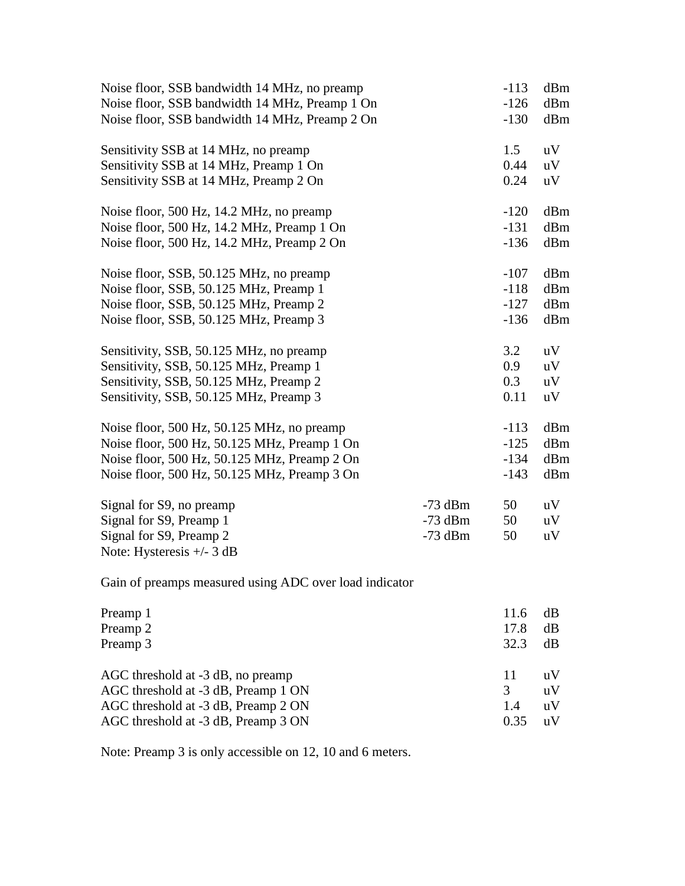| Noise floor, SSB bandwidth 14 MHz, no preamp   |           | $-113$ | dBm |
|------------------------------------------------|-----------|--------|-----|
| Noise floor, SSB bandwidth 14 MHz, Preamp 1 On |           | $-126$ | dBm |
| Noise floor, SSB bandwidth 14 MHz, Preamp 2 On |           |        | dBm |
| Sensitivity SSB at 14 MHz, no preamp           |           | 1.5    | uV  |
| Sensitivity SSB at 14 MHz, Preamp 1 On         |           | 0.44   | uV  |
| Sensitivity SSB at 14 MHz, Preamp 2 On         |           | 0.24   | uV  |
| Noise floor, 500 Hz, 14.2 MHz, no preamp       |           | $-120$ | dBm |
| Noise floor, 500 Hz, 14.2 MHz, Preamp 1 On     |           | $-131$ | dBm |
| Noise floor, 500 Hz, 14.2 MHz, Preamp 2 On     |           | $-136$ | dBm |
| Noise floor, SSB, 50.125 MHz, no preamp        |           | $-107$ | dBm |
| Noise floor, SSB, 50.125 MHz, Preamp 1         |           | $-118$ | dBm |
| Noise floor, SSB, 50.125 MHz, Preamp 2         |           | $-127$ | dBm |
| Noise floor, SSB, 50.125 MHz, Preamp 3         |           | $-136$ | dBm |
| Sensitivity, SSB, 50.125 MHz, no preamp        |           | 3.2    | uV  |
| Sensitivity, SSB, 50.125 MHz, Preamp 1         |           | 0.9    | uV  |
| Sensitivity, SSB, 50.125 MHz, Preamp 2         |           | 0.3    | uV  |
| Sensitivity, SSB, 50.125 MHz, Preamp 3         |           | 0.11   | uV  |
| Noise floor, 500 Hz, 50.125 MHz, no preamp     |           | $-113$ | dBm |
| Noise floor, 500 Hz, 50.125 MHz, Preamp 1 On   |           | $-125$ | dBm |
| Noise floor, 500 Hz, 50.125 MHz, Preamp 2 On   |           | $-134$ | dBm |
| Noise floor, 500 Hz, 50.125 MHz, Preamp 3 On   |           | $-143$ | dBm |
| Signal for S9, no preamp                       | $-73$ dBm | 50     | uV  |
| Signal for S9, Preamp 1                        | $-73$ dBm | 50     | uV  |
| Signal for S9, Preamp 2                        | $-73$ dBm | 50     | uV  |
| Note: Hysteresis $+/- 3$ dB                    |           |        |     |
|                                                |           |        |     |

Gain of preamps measured using ADC over load indicator

| Preamp 1                            | 11.6 | dB                      |
|-------------------------------------|------|-------------------------|
| Preamp 2                            | 17.8 | dB                      |
| Preamp 3                            | 32.3 | dB                      |
| AGC threshold at -3 dB, no preamp   | 11   | $\mathbf{u} \mathbf{V}$ |
| AGC threshold at -3 dB, Preamp 1 ON | 3    | uV                      |
|                                     |      |                         |
| AGC threshold at -3 dB, Preamp 2 ON | 1.4  | uV                      |

Note: Preamp 3 is only accessible on 12, 10 and 6 meters.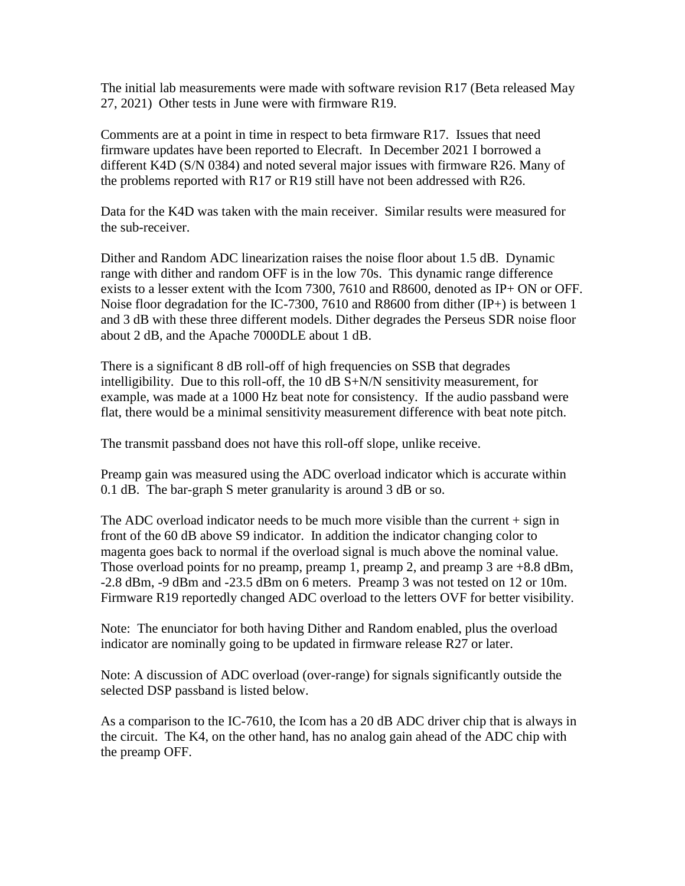The initial lab measurements were made with software revision R17 (Beta released May 27, 2021) Other tests in June were with firmware R19.

Comments are at a point in time in respect to beta firmware R17. Issues that need firmware updates have been reported to Elecraft. In December 2021 I borrowed a different K4D (S/N 0384) and noted several major issues with firmware R26. Many of the problems reported with R17 or R19 still have not been addressed with R26.

Data for the K4D was taken with the main receiver. Similar results were measured for the sub-receiver.

Dither and Random ADC linearization raises the noise floor about 1.5 dB. Dynamic range with dither and random OFF is in the low 70s. This dynamic range difference exists to a lesser extent with the Icom 7300, 7610 and R8600, denoted as IP+ ON or OFF. Noise floor degradation for the IC-7300, 7610 and R8600 from dither (IP+) is between 1 and 3 dB with these three different models. Dither degrades the Perseus SDR noise floor about 2 dB, and the Apache 7000DLE about 1 dB.

There is a significant 8 dB roll-off of high frequencies on SSB that degrades intelligibility. Due to this roll-off, the 10 dB S+N/N sensitivity measurement, for example, was made at a 1000 Hz beat note for consistency. If the audio passband were flat, there would be a minimal sensitivity measurement difference with beat note pitch.

The transmit passband does not have this roll-off slope, unlike receive.

Preamp gain was measured using the ADC overload indicator which is accurate within 0.1 dB. The bar-graph S meter granularity is around 3 dB or so.

The ADC overload indicator needs to be much more visible than the current  $+$  sign in front of the 60 dB above S9 indicator. In addition the indicator changing color to magenta goes back to normal if the overload signal is much above the nominal value. Those overload points for no preamp, preamp 1, preamp 2, and preamp 3 are  $+8.8$  dBm, -2.8 dBm, -9 dBm and -23.5 dBm on 6 meters. Preamp 3 was not tested on 12 or 10m. Firmware R19 reportedly changed ADC overload to the letters OVF for better visibility.

Note: The enunciator for both having Dither and Random enabled, plus the overload indicator are nominally going to be updated in firmware release R27 or later.

Note: A discussion of ADC overload (over-range) for signals significantly outside the selected DSP passband is listed below.

As a comparison to the IC-7610, the Icom has a 20 dB ADC driver chip that is always in the circuit. The K4, on the other hand, has no analog gain ahead of the ADC chip with the preamp OFF.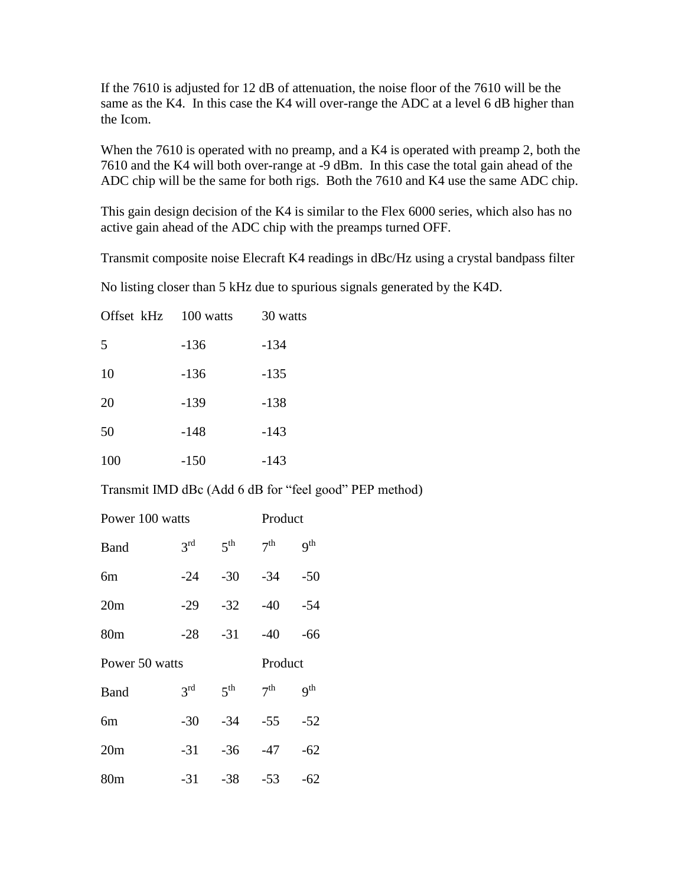If the 7610 is adjusted for 12 dB of attenuation, the noise floor of the 7610 will be the same as the K4. In this case the K4 will over-range the ADC at a level 6 dB higher than the Icom.

When the 7610 is operated with no preamp, and a K4 is operated with preamp 2, both the 7610 and the K4 will both over-range at -9 dBm. In this case the total gain ahead of the ADC chip will be the same for both rigs. Both the 7610 and K4 use the same ADC chip.

This gain design decision of the K4 is similar to the Flex 6000 series, which also has no active gain ahead of the ADC chip with the preamps turned OFF.

Transmit composite noise Elecraft K4 readings in dBc/Hz using a crystal bandpass filter

No listing closer than 5 kHz due to spurious signals generated by the K4D.

| Offset kHz 100 watts |        | 30 watts |
|----------------------|--------|----------|
| 5                    | $-136$ | $-134$   |
| 10                   | $-136$ | $-135$   |
| 20                   | $-139$ | $-138$   |
| 50                   | $-148$ | -143     |
| 100                  | $-150$ | $-143$   |

Transmit IMD dBc (Add 6 dB for "feel good" PEP method)

| Power 100 watts |                 |                 |                 | Product         |  |
|-----------------|-----------------|-----------------|-----------------|-----------------|--|
| Band            | 3 <sup>rd</sup> | 5 <sup>th</sup> | 7 <sup>th</sup> | q <sup>th</sup> |  |
| 6m              | $-24$           | $-30$           | $-34$           | $-50$           |  |
| 20m             | $-29$           | $-32$           | $-40$           | -54             |  |
| 80 <sub>m</sub> | $-28$           | $-31$           | $-40$           | -66             |  |
| Power 50 watts  |                 |                 | Product         |                 |  |
|                 |                 |                 |                 |                 |  |
| Band            | 3 <sup>rd</sup> | 5 <sup>th</sup> | 7 <sup>th</sup> | q <sup>th</sup> |  |
| 6m              | $-30$           | $-34$           | $-55$           | $-52$           |  |
| 20m             | $-31$           | $-36$           | -47             | $-62$           |  |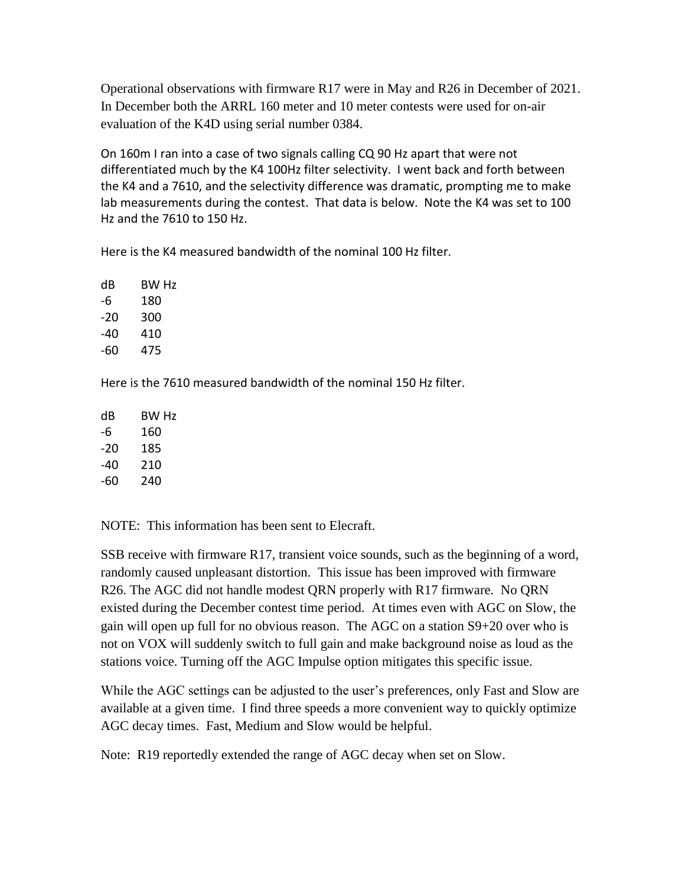Operational observations with firmware R17 were in May and R26 in December of 2021. In December both the ARRL 160 meter and 10 meter contests were used for on-air evaluation of the K4D using serial number 0384.

On 160m I ran into a case of two signals calling CQ 90 Hz apart that were not differentiated much by the K4 100Hz filter selectivity. I went back and forth between the K4 and a 7610, and the selectivity difference was dramatic, prompting me to make lab measurements during the contest. That data is below. Note the K4 was set to 100 Hz and the 7610 to 150 Hz.

Here is the K4 measured bandwidth of the nominal 100 Hz filter.

dB BW Hz -6 180 -20 300 -40 410 -60 475

Here is the 7610 measured bandwidth of the nominal 150 Hz filter.

| dB  | BW Hz |
|-----|-------|
| -6  | 160   |
| -20 | 185   |
| -40 | 210   |
| -60 | 240   |

NOTE: This information has been sent to Elecraft.

SSB receive with firmware R17, transient voice sounds, such as the beginning of a word, randomly caused unpleasant distortion. This issue has been improved with firmware R26. The AGC did not handle modest QRN properly with R17 firmware. No QRN existed during the December contest time period. At times even with AGC on Slow, the gain will open up full for no obvious reason. The AGC on a station S9+20 over who is not on VOX will suddenly switch to full gain and make background noise as loud as the stations voice. Turning off the AGC Impulse option mitigates this specific issue.

While the AGC settings can be adjusted to the user's preferences, only Fast and Slow are available at a given time. I find three speeds a more convenient way to quickly optimize AGC decay times. Fast, Medium and Slow would be helpful.

Note: R19 reportedly extended the range of AGC decay when set on Slow.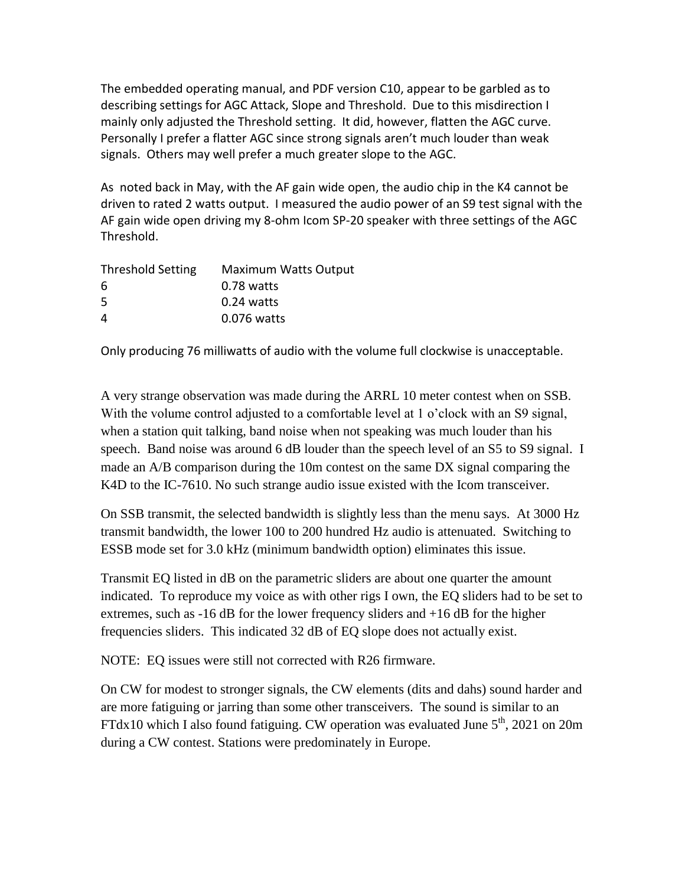The embedded operating manual, and PDF version C10, appear to be garbled as to describing settings for AGC Attack, Slope and Threshold. Due to this misdirection I mainly only adjusted the Threshold setting. It did, however, flatten the AGC curve. Personally I prefer a flatter AGC since strong signals aren't much louder than weak signals. Others may well prefer a much greater slope to the AGC.

As noted back in May, with the AF gain wide open, the audio chip in the K4 cannot be driven to rated 2 watts output. I measured the audio power of an S9 test signal with the AF gain wide open driving my 8-ohm Icom SP-20 speaker with three settings of the AGC Threshold.

| <b>Maximum Watts Output</b> |
|-----------------------------|
| $0.78$ watts                |
| $0.24$ watts                |
| 0.076 watts                 |
|                             |

Only producing 76 milliwatts of audio with the volume full clockwise is unacceptable.

A very strange observation was made during the ARRL 10 meter contest when on SSB. With the volume control adjusted to a comfortable level at 1 o'clock with an S9 signal, when a station quit talking, band noise when not speaking was much louder than his speech. Band noise was around 6 dB louder than the speech level of an S5 to S9 signal. I made an A/B comparison during the 10m contest on the same DX signal comparing the K4D to the IC-7610. No such strange audio issue existed with the Icom transceiver.

On SSB transmit, the selected bandwidth is slightly less than the menu says. At 3000 Hz transmit bandwidth, the lower 100 to 200 hundred Hz audio is attenuated. Switching to ESSB mode set for 3.0 kHz (minimum bandwidth option) eliminates this issue.

Transmit EQ listed in dB on the parametric sliders are about one quarter the amount indicated. To reproduce my voice as with other rigs I own, the EQ sliders had to be set to extremes, such as -16 dB for the lower frequency sliders and +16 dB for the higher frequencies sliders. This indicated 32 dB of EQ slope does not actually exist.

NOTE: EQ issues were still not corrected with R26 firmware.

On CW for modest to stronger signals, the CW elements (dits and dahs) sound harder and are more fatiguing or jarring than some other transceivers. The sound is similar to an FTdx10 which I also found fatiguing. CW operation was evaluated June  $5<sup>th</sup>$ , 2021 on 20m during a CW contest. Stations were predominately in Europe.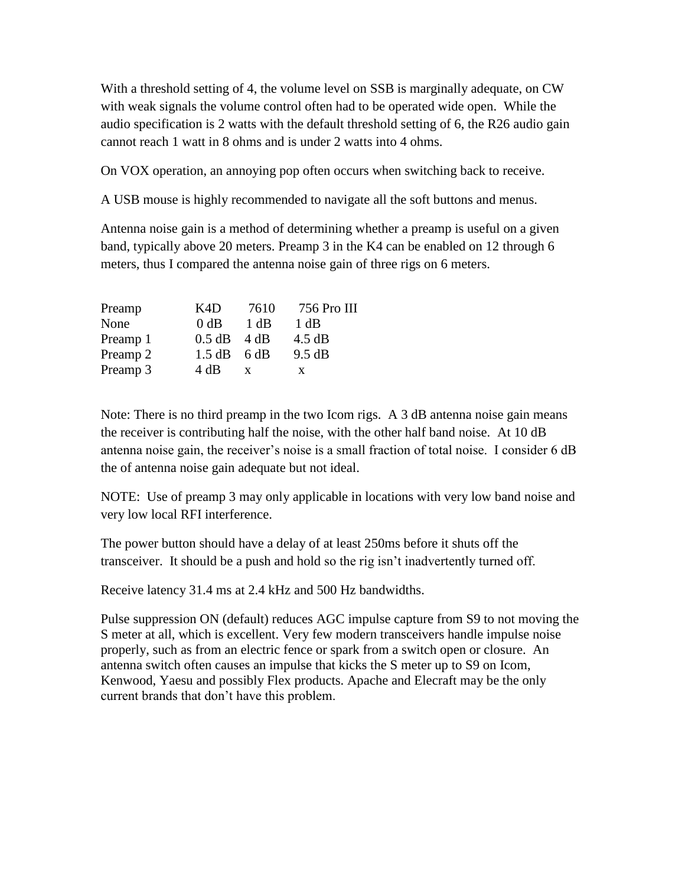With a threshold setting of 4, the volume level on SSB is marginally adequate, on CW with weak signals the volume control often had to be operated wide open. While the audio specification is 2 watts with the default threshold setting of 6, the R26 audio gain cannot reach 1 watt in 8 ohms and is under 2 watts into 4 ohms.

On VOX operation, an annoying pop often occurs when switching back to receive.

A USB mouse is highly recommended to navigate all the soft buttons and menus.

Antenna noise gain is a method of determining whether a preamp is useful on a given band, typically above 20 meters. Preamp 3 in the K4 can be enabled on 12 through 6 meters, thus I compared the antenna noise gain of three rigs on 6 meters.

| K4D  | 7610 | 756 Pro III                              |
|------|------|------------------------------------------|
| 0 dB | 1 dB | 1 dB                                     |
|      |      | 4.5 dB                                   |
|      |      | 9.5 dB                                   |
| 4 dB | X    | X                                        |
|      |      | $0.5$ dB $4$ dB<br>$1.5 \text{ dB}$ 6 dB |

Note: There is no third preamp in the two Icom rigs. A 3 dB antenna noise gain means the receiver is contributing half the noise, with the other half band noise. At 10 dB antenna noise gain, the receiver's noise is a small fraction of total noise. I consider 6 dB the of antenna noise gain adequate but not ideal.

NOTE: Use of preamp 3 may only applicable in locations with very low band noise and very low local RFI interference.

The power button should have a delay of at least 250ms before it shuts off the transceiver. It should be a push and hold so the rig isn't inadvertently turned off.

Receive latency 31.4 ms at 2.4 kHz and 500 Hz bandwidths.

Pulse suppression ON (default) reduces AGC impulse capture from S9 to not moving the S meter at all, which is excellent. Very few modern transceivers handle impulse noise properly, such as from an electric fence or spark from a switch open or closure. An antenna switch often causes an impulse that kicks the S meter up to S9 on Icom, Kenwood, Yaesu and possibly Flex products. Apache and Elecraft may be the only current brands that don't have this problem.